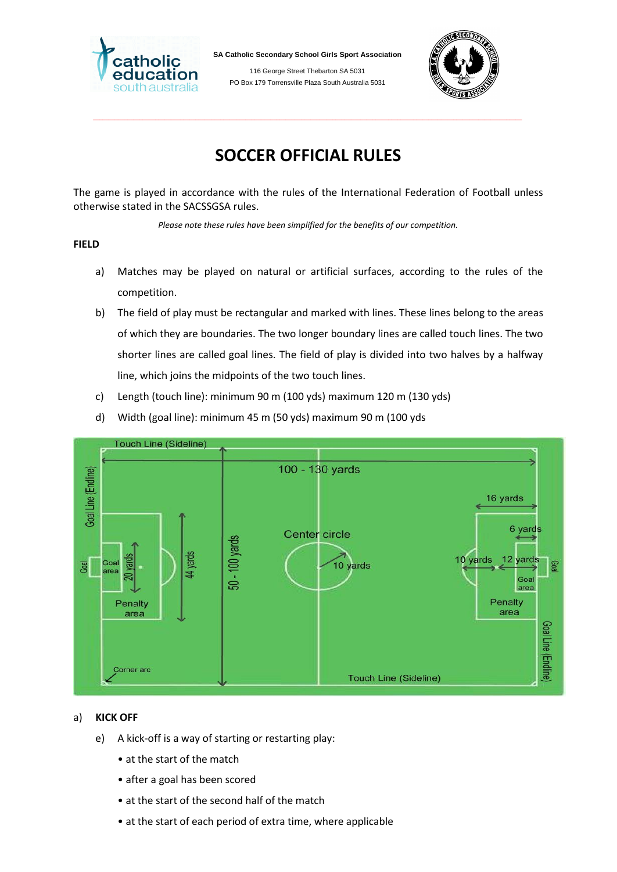

**SA Catholic Secondary School Girls Sport Association**

116 George Street Thebarton SA 5031 PO Box 179 Torrensville Plaza South Australia 5031



# **SOCCER OFFICIAL RULES**

\_\_\_\_\_\_\_\_\_\_\_\_\_\_\_\_\_\_\_\_\_\_\_\_\_\_\_\_\_\_\_\_\_\_\_\_\_\_\_\_\_\_\_\_\_\_\_\_\_\_\_\_\_\_\_\_\_\_\_\_\_\_\_\_\_\_\_\_\_\_\_\_\_\_\_\_\_\_\_\_\_\_\_\_\_\_\_\_\_\_\_\_\_\_\_\_\_\_\_\_\_\_\_\_\_\_\_\_\_\_\_\_\_\_\_\_\_\_\_\_\_\_\_\_\_\_\_\_\_\_\_\_\_\_\_\_\_\_

The game is played in accordance with the rules of the International Federation of Football unless otherwise stated in the SACSSGSA rules.

*Please note these rules have been simplified for the benefits of our competition.*

#### **FIELD**

- a) Matches may be played on natural or artificial surfaces, according to the rules of the competition.
- b) The field of play must be rectangular and marked with lines. These lines belong to the areas of which they are boundaries. The two longer boundary lines are called touch lines. The two shorter lines are called goal lines. The field of play is divided into two halves by a halfway line, which joins the midpoints of the two touch lines.
- c) Length (touch line): minimum 90 m (100 yds) maximum 120 m (130 yds)
- d) Width (goal line): minimum 45 m (50 yds) maximum 90 m (100 yds



## a) **KICK OFF**

- e) A kick-off is a way of starting or restarting play:
	- at the start of the match
	- after a goal has been scored
	- at the start of the second half of the match
	- at the start of each period of extra time, where applicable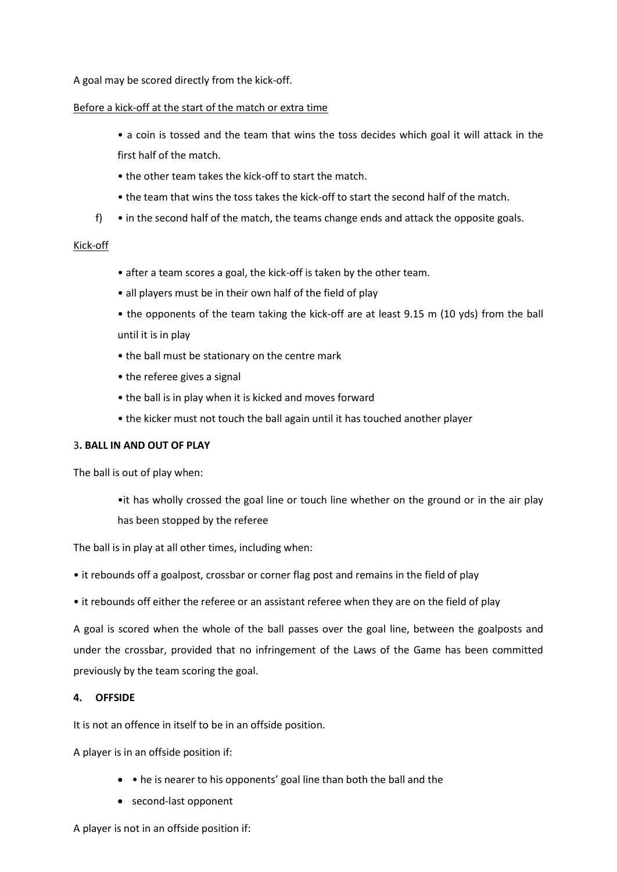A goal may be scored directly from the kick-off.

## Before a kick-off at the start of the match or extra time

• a coin is tossed and the team that wins the toss decides which goal it will attack in the first half of the match.

- the other team takes the kick-off to start the match.
- the team that wins the toss takes the kick-off to start the second half of the match.
- f) in the second half of the match, the teams change ends and attack the opposite goals.

## Kick-off

- after a team scores a goal, the kick-off is taken by the other team.
- all players must be in their own half of the field of play
- the opponents of the team taking the kick-off are at least 9.15 m (10 yds) from the ball until it is in play
- the ball must be stationary on the centre mark
- the referee gives a signal
- the ball is in play when it is kicked and moves forward
- the kicker must not touch the ball again until it has touched another player

## 3**. BALL IN AND OUT OF PLAY**

The ball is out of play when:

•it has wholly crossed the goal line or touch line whether on the ground or in the air play has been stopped by the referee

The ball is in play at all other times, including when:

- it rebounds off a goalpost, crossbar or corner flag post and remains in the field of play
- it rebounds off either the referee or an assistant referee when they are on the field of play

A goal is scored when the whole of the ball passes over the goal line, between the goalposts and under the crossbar, provided that no infringement of the Laws of the Game has been committed previously by the team scoring the goal.

## **4. OFFSIDE**

It is not an offence in itself to be in an offside position.

A player is in an offside position if:

- • he is nearer to his opponents' goal line than both the ball and the
- second-last opponent

A player is not in an offside position if: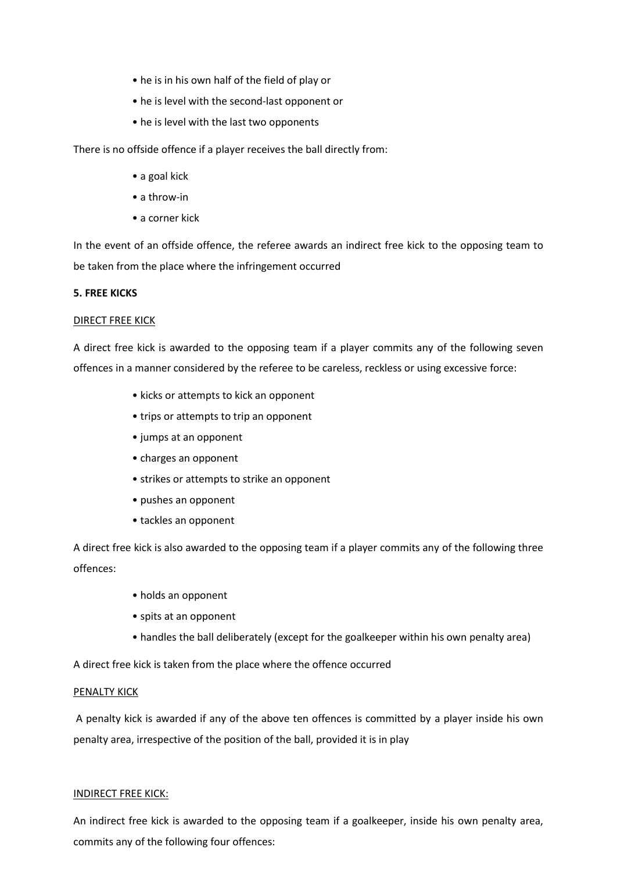- he is in his own half of the field of play or
- he is level with the second-last opponent or
- he is level with the last two opponents

There is no offside offence if a player receives the ball directly from:

- a goal kick
- a throw-in
- a corner kick

In the event of an offside offence, the referee awards an indirect free kick to the opposing team to be taken from the place where the infringement occurred

## **5. FREE KICKS**

#### DIRECT FREE KICK

A direct free kick is awarded to the opposing team if a player commits any of the following seven offences in a manner considered by the referee to be careless, reckless or using excessive force:

- kicks or attempts to kick an opponent
- trips or attempts to trip an opponent
- jumps at an opponent
- charges an opponent
- strikes or attempts to strike an opponent
- pushes an opponent
- tackles an opponent

A direct free kick is also awarded to the opposing team if a player commits any of the following three offences:

- holds an opponent
- spits at an opponent
- handles the ball deliberately (except for the goalkeeper within his own penalty area)

A direct free kick is taken from the place where the offence occurred

## PENALTY KICK

A penalty kick is awarded if any of the above ten offences is committed by a player inside his own penalty area, irrespective of the position of the ball, provided it is in play

## INDIRECT FREE KICK:

An indirect free kick is awarded to the opposing team if a goalkeeper, inside his own penalty area, commits any of the following four offences: